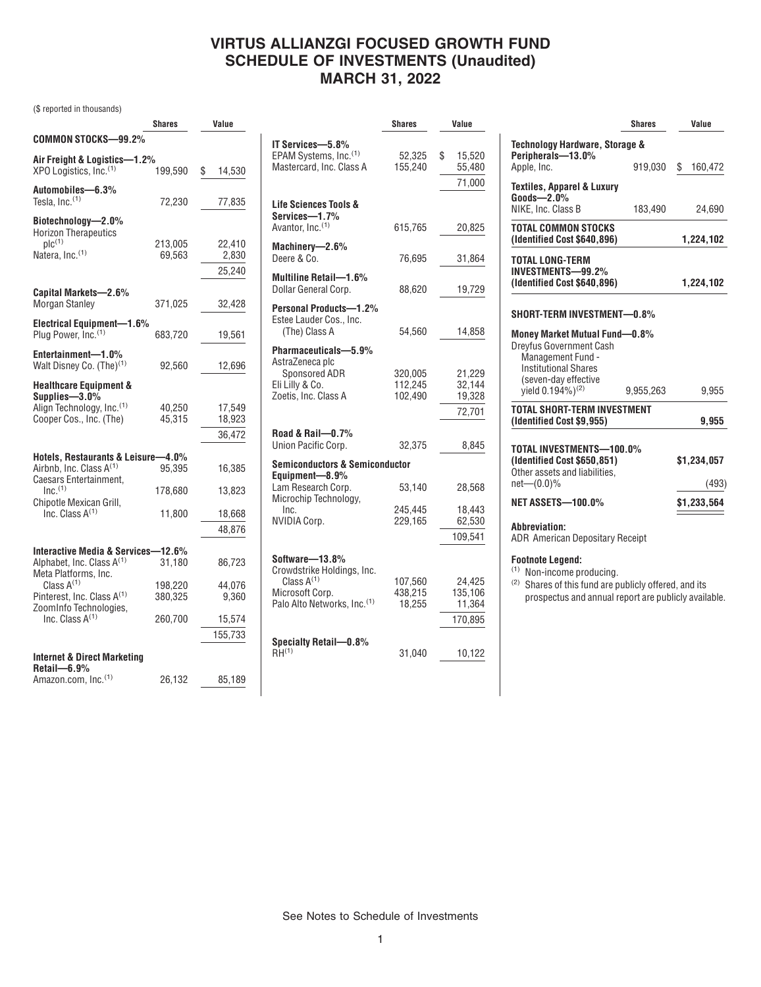### **VIRTUS ALLIANZGI FOCUSED GROWTH FUND SCHEDULE OF INVESTMENTS (Unaudited) MARCH 31, 2022**

(\$ reported in thousands)

|                                                                     | <b>Shares</b>      | Value           |
|---------------------------------------------------------------------|--------------------|-----------------|
| COMMON STOCKS-99.2%                                                 |                    |                 |
| Air Freight & Logistics—1.2%                                        |                    |                 |
| XPO Logistics, Inc. <sup>(1)</sup>                                  | 199,590            | \$<br>14,530    |
| Automobiles-6.3%                                                    |                    |                 |
| Tesla, Inc. <sup>(1)</sup>                                          | 72,230             | 77,835          |
| Biotechnology-2.0%                                                  |                    |                 |
| <b>Horizon Therapeutics</b><br>$\mathsf{plc}^{(1)}$                 | 213,005            | 22,410          |
| Natera, Inc. <sup>(1)</sup>                                         | 69,563             | 2,830           |
|                                                                     |                    | 25,240          |
|                                                                     |                    |                 |
| Capital Markets-2.6%<br><b>Morgan Stanley</b>                       | 371,025            | 32,428          |
|                                                                     |                    |                 |
| <b>Electrical Equipment-1.6%</b><br>Plug Power, Inc. <sup>(1)</sup> | 683,720            | 19,561          |
|                                                                     |                    |                 |
| Entertainment-1.0%<br>Walt Disney Co. (The) <sup>(1)</sup>          | 92,560             | 12,696          |
|                                                                     |                    |                 |
| <b>Healthcare Equipment &amp;</b><br>Supplies-3.0%                  |                    |                 |
| Align Technology, Inc. <sup>(1)</sup>                               | 40.250             | 17,549          |
| Cooper Cos., Inc. (The)                                             | 45,315             | 18,923          |
|                                                                     |                    | 36,472          |
| Hotels, Restaurants & Leisure-4.0%                                  |                    |                 |
| Airbnb, Inc. Class A <sup>(1)</sup>                                 | 95,395             | 16,385          |
| Caesars Entertainment,<br>Inc <sup>(1)</sup>                        |                    |                 |
| Chipotle Mexican Grill,                                             | 178,680            | 13,823          |
| Inc. Class $A^{(1)}$                                                | 11,800             | 18,668          |
|                                                                     |                    | 48,876          |
| Interactive Media & Services-12.6%                                  |                    |                 |
| Alphabet, Inc. Class A <sup>(1)</sup>                               | 31,180             | 86,723          |
| Meta Platforms, Inc.                                                |                    |                 |
| Class $A^{(1)}$<br>Pinterest, Inc. Class A <sup>(1)</sup>           | 198,220<br>380.325 | 44.076<br>9,360 |
| ZoomInfo Technologies,                                              |                    |                 |
| Inc. Class $A^{(1)}$                                                | 260,700            | 15,574          |
|                                                                     |                    | 155,733         |
| <b>Internet &amp; Direct Marketing</b>                              |                    |                 |
| Retail—6.9%                                                         |                    |                 |
| Amazon.com, Inc.(1)                                                 | 26.132             | 85.189          |

|                                                                                                                               | <b>Shares</b>                 | Value                                  |  |  |
|-------------------------------------------------------------------------------------------------------------------------------|-------------------------------|----------------------------------------|--|--|
| IT Services-5.8%<br>EPAM Systems, Inc. <sup>(1)</sup><br>Mastercard, Inc. Class A                                             | 52,325<br>155,240             | \$<br>15,520<br>55,480<br>71,000       |  |  |
| Life Sciences Tools &<br>Services-1.7%<br>Avantor, Inc. <sup>(1)</sup>                                                        | 615,765                       | 20,825                                 |  |  |
| Machinery-2.6%<br>Deere & Co.                                                                                                 | 76,695                        | 31,864                                 |  |  |
| Multiline Retail-1.6%<br>Dollar General Corp.                                                                                 | 88,620                        | 19,729                                 |  |  |
| Personal Products-1.2%<br>Estee Lauder Cos., Inc.<br>(The) Class A                                                            | 54,560                        | 14,858                                 |  |  |
| Pharmaceuticals-5.9%<br>AstraZeneca plc<br>Sponsored ADR<br>Eli Lilly & Co.<br>Zoetis, Inc. Class A                           | 320,005<br>112,245<br>102,490 | 21,229<br>32,144<br>19,328<br>72,701   |  |  |
| Road & Rail-0.7%<br>Union Pacific Corp.                                                                                       | 32,375                        | 8,845                                  |  |  |
| <b>Semiconductors &amp; Semiconductor</b>                                                                                     |                               |                                        |  |  |
| Equipment-8.9%<br>Lam Research Corp.<br>Microchip Technology,                                                                 | 53,140                        | 28,568                                 |  |  |
| Inc.<br><b>NVIDIA Corp.</b>                                                                                                   | 245,445<br>229,165            | 18,443<br>62,530                       |  |  |
|                                                                                                                               |                               | 109,541                                |  |  |
| Software-13.8%<br>Crowdstrike Holdings, Inc.<br>Class $A^{(1)}$<br>Microsoft Corp.<br>Palo Alto Networks, Inc. <sup>(1)</sup> | 107,560<br>438,215<br>18,255  | 24,425<br>135,106<br>11,364<br>170,895 |  |  |
| Specialty Retail-0.8%<br>$RH^{(1)}$                                                                                           | 31,040                        | 10,122                                 |  |  |

|                                                                                                                                             | <b>Shares</b> | Value         |
|---------------------------------------------------------------------------------------------------------------------------------------------|---------------|---------------|
| Technology Hardware, Storage &<br>Peripherals-13.0%                                                                                         |               |               |
| Apple, Inc.                                                                                                                                 | 919,030       | S.<br>160,472 |
| <b>Textiles, Apparel &amp; Luxury</b><br>$Goods - 2.0%$                                                                                     |               |               |
| NIKE, Inc. Class B                                                                                                                          | 183,490       | 24,690        |
| TOTAL COMMON STOCKS<br>(Identified Cost \$640,896)                                                                                          |               | 1,224,102     |
| <b>TOTAL LONG-TERM</b><br>INVESTMENTS-99.2%<br>(Identified Cost \$640,896)                                                                  |               | 1,224,102     |
| SHORT-TERM INVESTMENT-0.8%                                                                                                                  |               |               |
| Money Market Mutual Fund-0.8%<br><b>Dreyfus Government Cash</b><br>Management Fund -<br><b>Institutional Shares</b><br>(seven-day effective |               |               |
| yield 0.194%) <sup>(2)</sup>                                                                                                                | 9,955,263     | 9,955         |
| TOTAL SHORT-TERM INVESTMENT<br>(Identified Cost \$9,955)                                                                                    |               | 9,955         |
| TOTAL INVESTMENTS-100.0%                                                                                                                    |               |               |
| (Identified Cost \$650,851)<br>Other assets and liabilities.                                                                                |               | \$1,234,057   |
| $net(0.0)\%$                                                                                                                                |               | (493)         |
| <b>NET ASSETS-100.0%</b>                                                                                                                    |               | \$1,233,564   |
| Abbreviation:<br><b>ADR American Depositary Receipt</b>                                                                                     |               |               |
| <b>Footnote Legend:</b>                                                                                                                     |               |               |

(1) Non-income producing.

(2) Shares of this fund are publicly offered, and its prospectus and annual report are publicly available.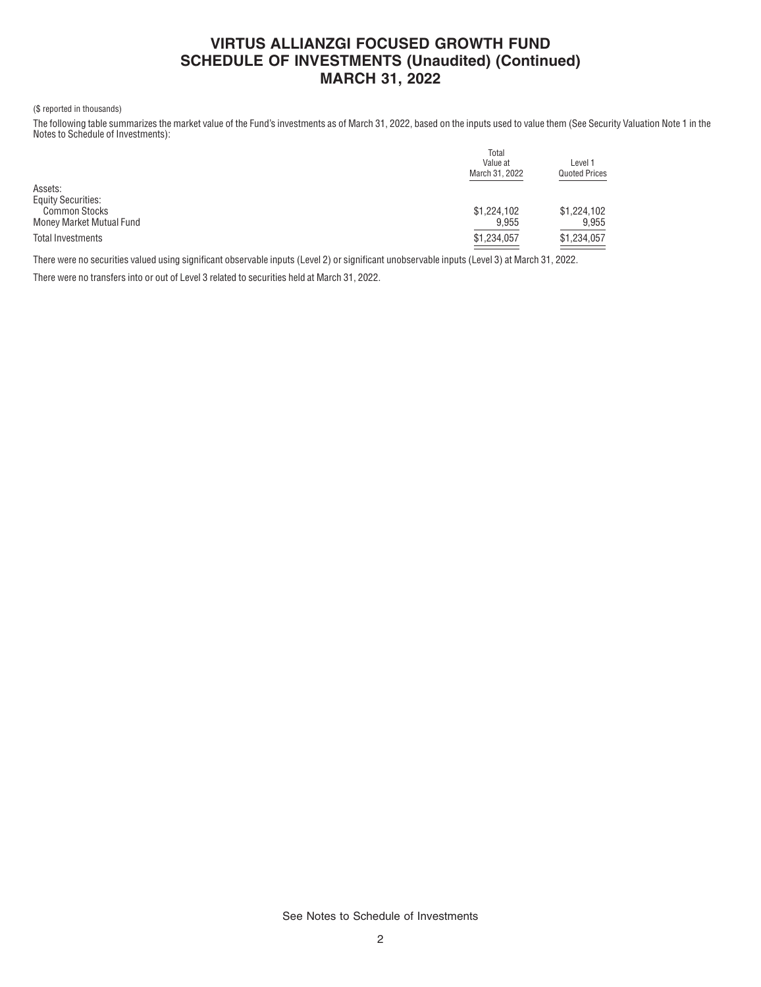# **VIRTUS ALLIANZGI FOCUSED GROWTH FUND SCHEDULE OF INVESTMENTS (Unaudited) (Continued) MARCH 31, 2022**

#### (\$ reported in thousands)

The following table summarizes the market value of the Fund's investments as of March 31, 2022, based on the inputs used to value them (See Security Valuation Note 1 in the Notes to Schedule of Investments):

|                           | Total          |                                 |  |  |
|---------------------------|----------------|---------------------------------|--|--|
|                           | Value at       | Level 1<br><b>Quoted Prices</b> |  |  |
|                           | March 31, 2022 |                                 |  |  |
| Assets:                   |                |                                 |  |  |
| <b>Equity Securities:</b> |                |                                 |  |  |
| <b>Common Stocks</b>      | \$1,224,102    | \$1,224,102                     |  |  |
| Money Market Mutual Fund  | 9.955          | 9.955                           |  |  |
| Total Investments         | \$1,234,057    | \$1,234,057                     |  |  |
|                           |                |                                 |  |  |

There were no securities valued using significant observable inputs (Level 2) or significant unobservable inputs (Level 3) at March 31, 2022.

There were no transfers into or out of Level 3 related to securities held at March 31, 2022.

See Notes to Schedule of Investments